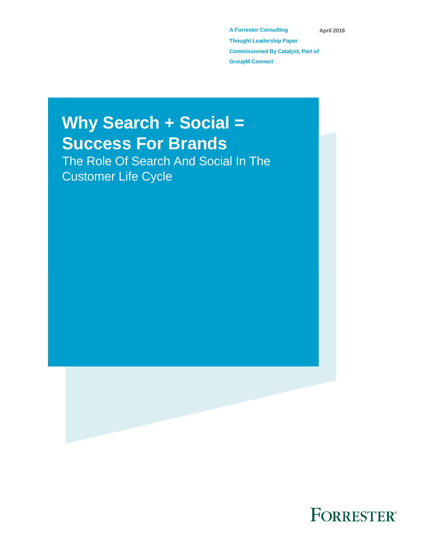**A Forrester Consulting Thought Leadership Paper Commissioned By Catalyst, Part of GroupM Connect April 2016** 

# **Why Search + Social = Success For Brands**

The Role Of Search And Social In The Customer Life Cycle



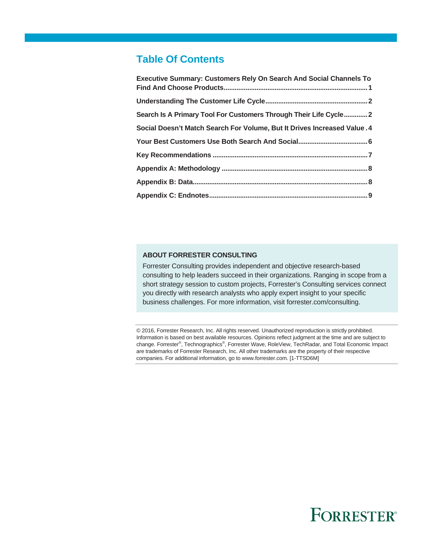## **Table Of Contents**

| <b>Executive Summary: Customers Rely On Search And Social Channels To</b> |
|---------------------------------------------------------------------------|
|                                                                           |
| Search Is A Primary Tool For Customers Through Their Life Cycle2          |
| Social Doesn't Match Search For Volume, But It Drives Increased Value. 4  |
|                                                                           |
|                                                                           |
|                                                                           |
|                                                                           |
|                                                                           |

### **ABOUT FORRESTER CONSULTING**

Forrester Consulting provides independent and objective research-based consulting to help leaders succeed in their organizations. Ranging in scope from a short strategy session to custom projects, Forrester's Consulting services connect you directly with research analysts who apply expert insight to your specific business challenges. For more information, visit forrester.com/consulting.

© 2016, Forrester Research, Inc. All rights reserved. Unauthorized reproduction is strictly prohibited. Information is based on best available resources. Opinions reflect judgment at the time and are subject to change. Forrester®, Technographics®, Forrester Wave, RoleView, TechRadar, and Total Economic Impact are trademarks of Forrester Research, Inc. All other trademarks are the property of their respective companies. For additional information, go to www.forrester.com. [1-TTSD6M]

# **FORRESTER®**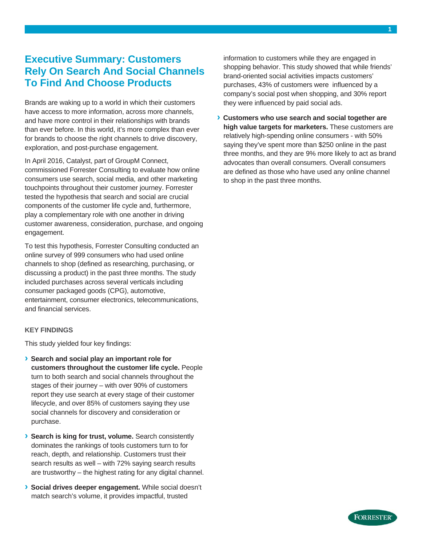## **Executive Summary: Customers Rely On Search And Social Channels To Find And Choose Products**

Brands are waking up to a world in which their customers have access to more information, across more channels, and have more control in their relationships with brands than ever before. In this world, it's more complex than ever for brands to choose the right channels to drive discovery, exploration, and post-purchase engagement.

In April 2016, Catalyst, part of GroupM Connect, commissioned Forrester Consulting to evaluate how online consumers use search, social media, and other marketing touchpoints throughout their customer journey. Forrester tested the hypothesis that search and social are crucial components of the customer life cycle and, furthermore, play a complementary role with one another in driving customer awareness, consideration, purchase, and ongoing engagement.

To test this hypothesis, Forrester Consulting conducted an online survey of 999 consumers who had used online channels to shop (defined as researching, purchasing, or discussing a product) in the past three months. The study included purchases across several verticals including consumer packaged goods (CPG), automotive, entertainment, consumer electronics, telecommunications, and financial services.

#### **KEY FINDINGS**

This study yielded four key findings:

- **› Search and social play an important role for customers throughout the customer life cycle.** People turn to both search and social channels throughout the stages of their journey – with over 90% of customers report they use search at every stage of their customer lifecycle, and over 85% of customers saying they use social channels for discovery and consideration or purchase.
- **› Search is king for trust, volume.** Search consistently dominates the rankings of tools customers turn to for reach, depth, and relationship. Customers trust their search results as well – with 72% saying search results are trustworthy – the highest rating for any digital channel.
- **› Social drives deeper engagement.** While social doesn't match search's volume, it provides impactful, trusted

information to customers while they are engaged in shopping behavior. This study showed that while friends' brand-oriented social activities impacts customers' purchases, 43% of customers were influenced by a company's social post when shopping, and 30% report they were influenced by paid social ads.

**› Customers who use search and social together are high value targets for marketers.** These customers are relatively high-spending online consumers - with 50% saying they've spent more than \$250 online in the past three months, and they are 9% more likely to act as brand advocates than overall consumers. Overall consumers are defined as those who have used any online channel to shop in the past three months.



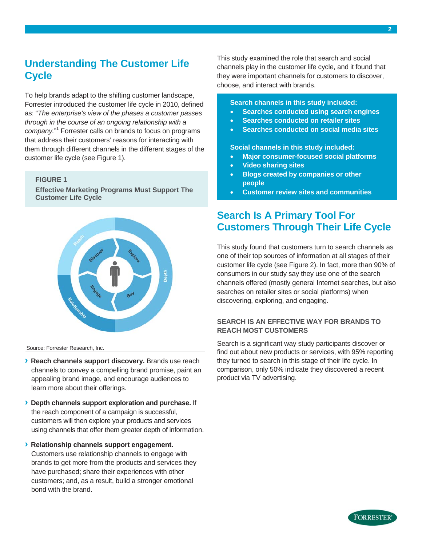## **Understanding The Customer Life Cycle**

To help brands adapt to the shifting customer landscape, Forrester introduced the customer life cycle in 2010, defined as: "*The enterprise's view of the phases a customer passes through in the course of an ongoing relationship with a company.*" <sup>1</sup> Forrester calls on brands to focus on programs that address their customers' reasons for interacting with them through different channels in the different stages of the customer life cycle (see Figure 1).

#### **FIGURE 1**

**Effective Marketing Programs Must Support The Customer Life Cycle** 



Source: Forrester Research, Inc.

- **› Reach channels support discovery.** Brands use reach channels to convey a compelling brand promise, paint an appealing brand image, and encourage audiences to learn more about their offerings.
- **› Depth channels support exploration and purchase.** If the reach component of a campaign is successful, customers will then explore your products and services using channels that offer them greater depth of information.
- **› Relationship channels support engagement.** Customers use relationship channels to engage with brands to get more from the products and services they have purchased; share their experiences with other customers; and, as a result, build a stronger emotional bond with the brand.

This study examined the role that search and social channels play in the customer life cycle, and it found that they were important channels for customers to discover, choose, and interact with brands.

## **Search channels in this study included:**

- **Searches conducted using search engines**
- **Searches conducted on retailer sites**
- **Searches conducted on social media sites**

**Social channels in this study included:** 

- **Major consumer-focused social platforms**
- **Video sharing sites**
- **Blogs created by companies or other people**
- **Customer review sites and communities**

## **Search Is A Primary Tool For Customers Through Their Life Cycle**

This study found that customers turn to search channels as one of their top sources of information at all stages of their customer life cycle (see Figure 2). In fact, more than 90% of consumers in our study say they use one of the search channels offered (mostly general Internet searches, but also searches on retailer sites or social platforms) when discovering, exploring, and engaging.

## **SEARCH IS AN EFFECTIVE WAY FOR BRANDS TO REACH MOST CUSTOMERS**

Search is a significant way study participants discover or find out about new products or services, with 95% reporting they turned to search in this stage of their life cycle. In comparison, only 50% indicate they discovered a recent product via TV advertising.

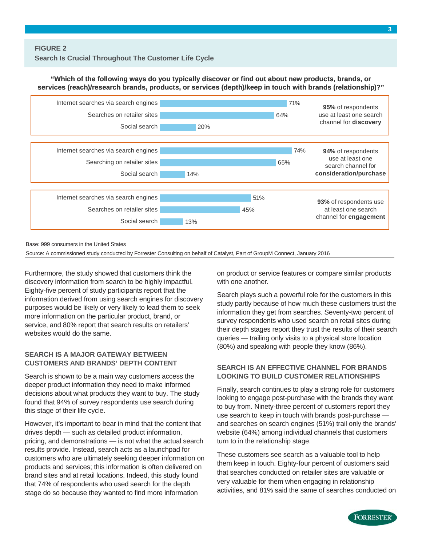### **"Which of the following ways do you typically discover or find out about new products, brands, or services (reach)/research brands, products, or services (depth)/keep in touch with brands (relationship)?"**



Base: 999 consumers in the United States

Source: A commissioned study conducted by Forrester Consulting on behalf of Catalyst, Part of GroupM Connect, January 2016

Furthermore, the study showed that customers think the discovery information from search to be highly impactful. Eighty-five percent of study participants report that the information derived from using search engines for discovery purposes would be likely or very likely to lead them to seek more information on the particular product, brand, or service, and 80% report that search results on retailers' websites would do the same.

#### **SEARCH IS A MAJOR GATEWAY BETWEEN CUSTOMERS AND BRANDS' DEPTH CONTENT**

Search is shown to be a main way customers access the deeper product information they need to make informed decisions about what products they want to buy. The study found that 94% of survey respondents use search during this stage of their life cycle.

However, it's important to bear in mind that the content that drives depth — such as detailed product information, pricing, and demonstrations — is not what the actual search results provide. Instead, search acts as a launchpad for customers who are ultimately seeking deeper information on products and services; this information is often delivered on brand sites and at retail locations. Indeed, this study found that 74% of respondents who used search for the depth stage do so because they wanted to find more information

on product or service features or compare similar products with one another.

Search plays such a powerful role for the customers in this study partly because of how much these customers trust the information they get from searches. Seventy-two percent of survey respondents who used search on retail sites during their depth stages report they trust the results of their search queries — trailing only visits to a physical store location (80%) and speaking with people they know (86%).

### **SEARCH IS AN EFFECTIVE CHANNEL FOR BRANDS LOOKING TO BUILD CUSTOMER RELATIONSHIPS**

Finally, search continues to play a strong role for customers looking to engage post-purchase with the brands they want to buy from. Ninety-three percent of customers report they use search to keep in touch with brands post-purchase and searches on search engines (51%) trail only the brands' website (64%) among individual channels that customers turn to in the relationship stage.

These customers see search as a valuable tool to help them keep in touch. Eighty-four percent of customers said that searches conducted on retailer sites are valuable or very valuable for them when engaging in relationship activities, and 81% said the same of searches conducted on

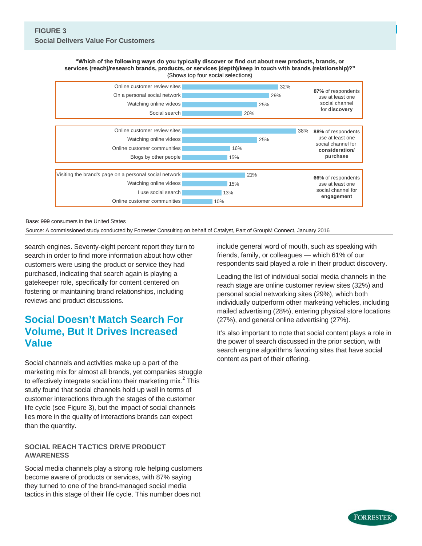**"Which of the following ways do you typically discover or find out about new products, brands, or services (reach)/research brands, products, or services (depth)/keep in touch with brands (relationship)?"** (Shows top four social selections) **EXECUTE:** Which of the following ways do you typically discover or find out about new products, brands, or<br>vices (reach)/research brands, products, or services (depth)/keep in touch with brands (relationship)?"<br>(Shows top



Base: 999 consumers in the United States

Source: A commissioned study conducted by Forrester Consulting on behalf of Catalyst, Part of GroupM Connect, January 2016

search engines. Seventy-eight percent report they turn to search in order to find more information about how other customers were using the product or service they had purchased, indicating that search again is playing a gatekeeper role, specifically for content centered on fostering or maintaining brand relationships, including reviews and product discussions.

## **Social Doesn't Match Search For Volume, But It Drives Increased Value**

Social channels and activities make up a part of the marketing mix for almost all brands, yet companies struggle to effectively integrate social into their marketing mix. $2$  This study found that social channels hold up well in terms of customer interactions through the stages of the customer life cycle (see Figure 3), but the impact of social channels lies more in the quality of interactions brands can expect than the quantity.

## **SOCIAL REACH TACTICS DRIVE PRODUCT AWARENESS**

Social media channels play a strong role helping customers become aware of products or services, with 87% saying they turned to one of the brand-managed social media tactics in this stage of their life cycle. This number does not

include general word of mouth, such as speaking with friends, family, or colleagues — which 61% of our respondents said played a role in their product discovery.

Leading the list of individual social media channels in the reach stage are online customer review sites (32%) and personal social networking sites (29%), which both individually outperform other marketing vehicles, including mailed advertising (28%), entering physical store locations (27%), and general online advertising (27%).

It's also important to note that social content plays a role in the power of search discussed in the prior section, with search engine algorithms favoring sites that have social content as part of their offering.

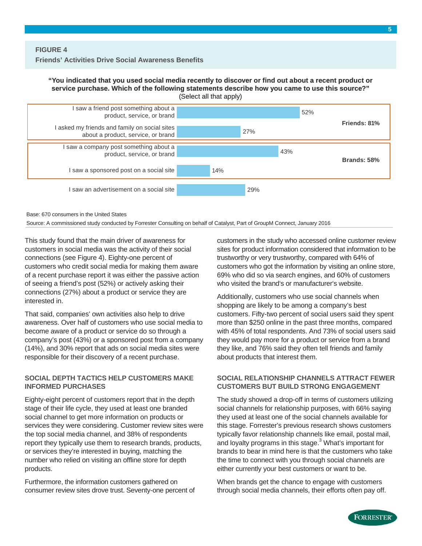#### **"You indicated that you used social media recently to discover or find out about a recent product or service purchase. Which of the following statements describe how you came to use this source?"** (Select all that apply)



Base: 670 consumers in the United States

Source: A commissioned study conducted by Forrester Consulting on behalf of Catalyst, Part of GroupM Connect, January 2016

This study found that the main driver of awareness for customers in social media was the activity of their social connections (see Figure 4). Eighty-one percent of customers who credit social media for making them aware of a recent purchase report it was either the passive action of seeing a friend's post (52%) or actively asking their connections (27%) about a product or service they are interested in.

That said, companies' own activities also help to drive awareness. Over half of customers who use social media to become aware of a product or service do so through a company's post (43%) or a sponsored post from a company (14%), and 30% report that ads on social media sites were responsible for their discovery of a recent purchase.

#### **SOCIAL DEPTH TACTICS HELP CUSTOMERS MAKE INFORMED PURCHASES**

Eighty-eight percent of customers report that in the depth stage of their life cycle, they used at least one branded social channel to get more information on products or services they were considering. Customer review sites were the top social media channel, and 38% of respondents report they typically use them to research brands, products, or services they're interested in buying, matching the number who relied on visiting an offline store for depth products.

Furthermore, the information customers gathered on consumer review sites drove trust. Seventy-one percent of customers in the study who accessed online customer review sites for product information considered that information to be trustworthy or very trustworthy, compared with 64% of customers who got the information by visiting an online store, 69% who did so via search engines, and 60% of customers who visited the brand's or manufacturer's website.

Additionally, customers who use social channels when shopping are likely to be among a company's best customers. Fifty-two percent of social users said they spent more than \$250 online in the past three months, compared with 45% of total respondents. And 73% of social users said they would pay more for a product or service from a brand they like, and 76% said they often tell friends and family about products that interest them.

#### **SOCIAL RELATIONSHIP CHANNELS ATTRACT FEWER CUSTOMERS BUT BUILD STRONG ENGAGEMENT**

The study showed a drop-off in terms of customers utilizing social channels for relationship purposes, with 66% saying they used at least one of the social channels available for this stage. Forrester's previous research shows customers typically favor relationship channels like email, postal mail, and loyalty programs in this stage.<sup>3</sup> What's important for brands to bear in mind here is that the customers who take the time to connect with you through social channels are either currently your best customers or want to be.

When brands get the chance to engage with customers through social media channels, their efforts often pay off.

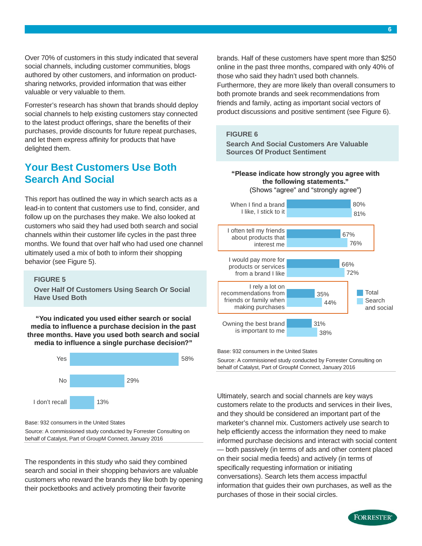Over 70% of customers in this study indicated that several social channels, including customer communities, blogs authored by other customers, and information on productsharing networks, provided information that was either valuable or very valuable to them.

Forrester's research has shown that brands should deploy social channels to help existing customers stay connected to the latest product offerings, share the benefits of their purchases, provide discounts for future repeat purchases, and let them express affinity for products that have delighted them.

## **Your Best Customers Use Both Search And Social**

This report has outlined the way in which search acts as a lead-in to content that customers use to find, consider, and follow up on the purchases they make. We also looked at customers who said they had used both search and social channels within their customer life cycles in the past three months. We found that over half who had used one channel ultimately used a mix of both to inform their shopping behavior (see Figure 5).

#### **FIGURE 5**

**Over Half Of Customers Using Search Or Social Have Used Both** 

**"You indicated you used either search or social media to influence a purchase decision in the past three months. Have you used both search and social media to influence a single purchase decision?"**



Base: 932 consumers in the United States

Source: A commissioned study conducted by Forrester Consulting on behalf of Catalyst, Part of GroupM Connect, January 2016

The respondents in this study who said they combined search and social in their shopping behaviors are valuable customers who reward the brands they like both by opening their pocketbooks and actively promoting their favorite

brands. Half of these customers have spent more than \$250 online in the past three months, compared with only 40% of those who said they hadn't used both channels. Furthermore, they are more likely than overall consumers to both promote brands and seek recommendations from friends and family, acting as important social vectors of product discussions and positive sentiment (see Figure 6).

#### **FIGURE 6**

**Search And Social Customers Are Valuable Sources Of Product Sentiment** 

#### **"Please indicate how strongly you agree with the following statements."** (Shows "agree" and "strongly agree")



Base: 932 consumers in the United States

Source: A commissioned study conducted by Forrester Consulting on behalf of Catalyst, Part of GroupM Connect, January 2016

Ultimately, search and social channels are key ways customers relate to the products and services in their lives, and they should be considered an important part of the marketer's channel mix. Customers actively use search to help efficiently access the information they need to make informed purchase decisions and interact with social content — both passively (in terms of ads and other content placed on their social media feeds) and actively (in terms of specifically requesting information or initiating conversations). Search lets them access impactful information that guides their own purchases, as well as the purchases of those in their social circles.



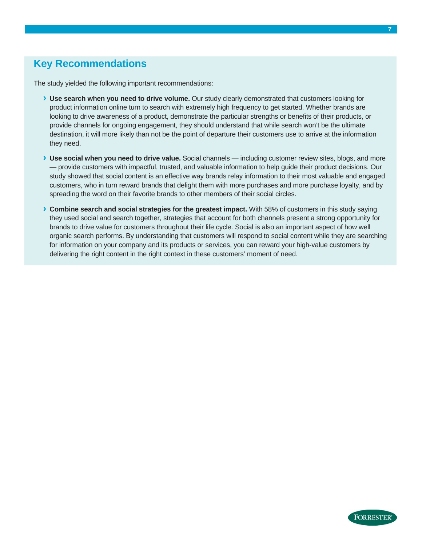## **Key Recommendations**

The study yielded the following important recommendations:

- **› Use search when you need to drive volume.** Our study clearly demonstrated that customers looking for product information online turn to search with extremely high frequency to get started. Whether brands are looking to drive awareness of a product, demonstrate the particular strengths or benefits of their products, or provide channels for ongoing engagement, they should understand that while search won't be the ultimate destination, it will more likely than not be the point of departure their customers use to arrive at the information they need.
- **› Use social when you need to drive value.** Social channels including customer review sites, blogs, and more — provide customers with impactful, trusted, and valuable information to help guide their product decisions. Our study showed that social content is an effective way brands relay information to their most valuable and engaged customers, who in turn reward brands that delight them with more purchases and more purchase loyalty, and by spreading the word on their favorite brands to other members of their social circles.
- **› Combine search and social strategies for the greatest impact.** With 58% of customers in this study saying they used social and search together, strategies that account for both channels present a strong opportunity for brands to drive value for customers throughout their life cycle. Social is also an important aspect of how well organic search performs. By understanding that customers will respond to social content while they are searching for information on your company and its products or services, you can reward your high-value customers by delivering the right content in the right context in these customers' moment of need.

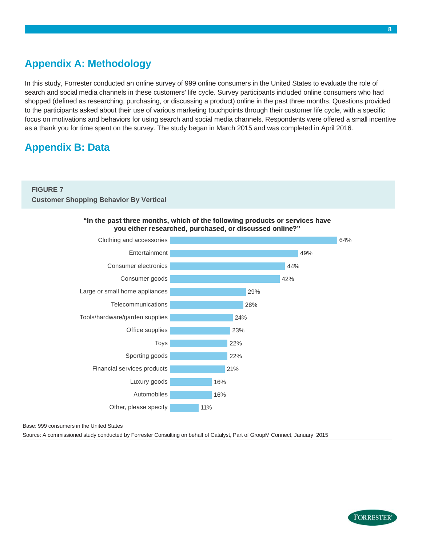# **Appendix A: Methodology**

In this study, Forrester conducted an online survey of 999 online consumers in the United States to evaluate the role of search and social media channels in these customers' life cycle. Survey participants included online consumers who had shopped (defined as researching, purchasing, or discussing a product) online in the past three months. Questions provided to the participants asked about their use of various marketing touchpoints through their customer life cycle, with a specific focus on motivations and behaviors for using search and social media channels. Respondents were offered a small incentive as a thank you for time spent on the survey. The study began in March 2015 and was completed in April 2016.

# **Appendix B: Data**

## **FIGURE 7 Customer Shopping Behavior By Vertical**





#### Base: 999 consumers in the United States

Source: A commissioned study conducted by Forrester Consulting on behalf of Catalyst, Part of GroupM Connect, January 2015